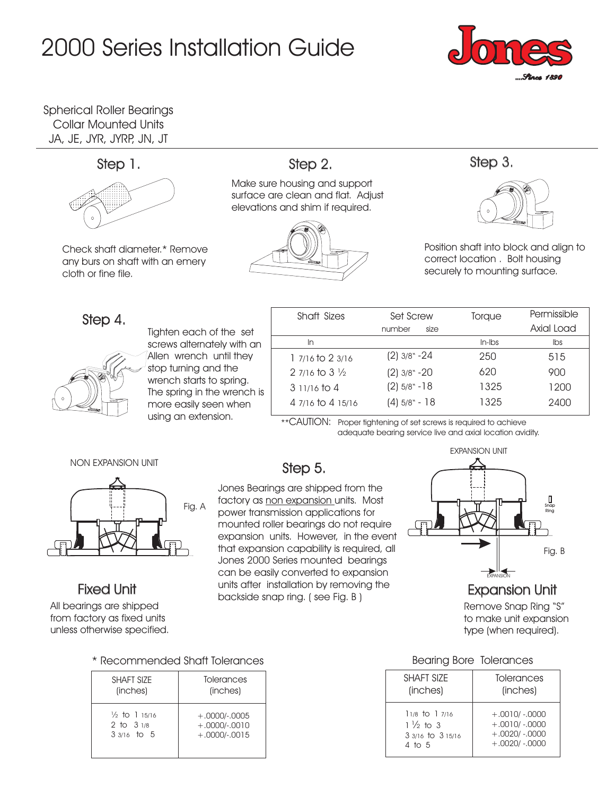# 2000 Series Installation Guide



Spherical Roller Bearings Collar Mounted Units JA, JE, JYR, JYRP, JN, JT



Check shaft diameter.\* Remove any burs on shaft with an emery cloth or fine file.

### Step 1. Step 2. Step 2. Step 3.

Make sure housing and support surface are clean and flat. Adjust elevations and shim if required.





Position shaft into block and align to correct location . Bolt housing securely to mounting surface.

### Step 4.



Tighten each of the set screws alternately with an Allen wrench until they stop turning and the wrench starts to spring. The spring in the wrench is more easily seen when using an extension.

| Shaft Sizes                 | Set Screw        | Torque               | Permissible |
|-----------------------------|------------------|----------------------|-------------|
|                             | number<br>size   |                      | Axial Load  |
| In                          |                  | $In$ - $\mathsf{bs}$ | Ibs         |
| 1 7/16 to 2 3/16            | $(2)$ 3/8" - 24  | 250                  | 515         |
| 2 $7/16$ to 3 $\frac{1}{2}$ | $(2)$ 3/8" - 20  | 620                  | 900         |
| $311/16$ to 4               | $(2)$ 5/8" - 18  | 1325                 | 1200        |
| 4 7/16 to 4 15/16           | $(4) 5/8$ " - 18 | 1325                 | 2400        |

\*\*CAUTION: Proper tightening of set screws is required to achieve adequate bearing service live and axial location avidity.

NON EXPANSION UNIT



All bearings are shipped from factory as fixed units unless otherwise specified.

### \* Recommended Shaft Tolerances Bearing Bore Tolerances

| SHAFT SIZE               | Tolerances      |  |
|--------------------------|-----------------|--|
| (inches)                 | (inches)        |  |
| $\frac{1}{2}$ to 1 15/16 | $+.0000/-0005$  |  |
| 2 to $31/8$              | $+.0000/-.0010$ |  |
| $33/16$ to 5             | $+.0000/-0015$  |  |

## Step 5.

Jones Bearings are shipped from the factory as <u>non expansion </u>units. Most power transmission applications for mounted roller bearings do not require expansion units. However, in the event that expansion capability is required, all Jones 2000 Series mounted bearings can be easily converted to expansion units after installation by removing the Fixed Unit **Fixed Unit All and Script Constant** in Statistics (See Fig. B ) **Fixed Unit Expansion Unit** 



Remove Snap Ring "S" to make unit expansion type (when required).

| <b>SHAFT SIZE</b>   | Tolerances      |
|---------------------|-----------------|
| (inches)            | (inches)        |
| $11/8$ to $17/16$   | $+0010/0000$    |
| $1\frac{1}{2}$ to 3 | $+.0010/-00000$ |
| 3 3/16 to 3 15/16   | $+.0020/-0000$  |
| $4$ to 5            | $+.0020/-0000$  |